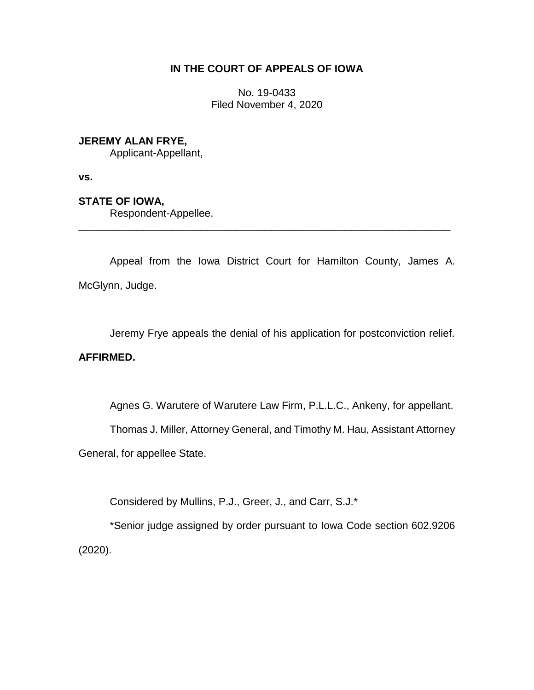### **IN THE COURT OF APPEALS OF IOWA**

No. 19-0433 Filed November 4, 2020

### **JEREMY ALAN FRYE,**

Applicant-Appellant,

**vs.**

# **STATE OF IOWA,**

Respondent-Appellee.

Appeal from the Iowa District Court for Hamilton County, James A. McGlynn, Judge.

\_\_\_\_\_\_\_\_\_\_\_\_\_\_\_\_\_\_\_\_\_\_\_\_\_\_\_\_\_\_\_\_\_\_\_\_\_\_\_\_\_\_\_\_\_\_\_\_\_\_\_\_\_\_\_\_\_\_\_\_\_\_\_\_

Jeremy Frye appeals the denial of his application for postconviction relief.

# **AFFIRMED.**

Agnes G. Warutere of Warutere Law Firm, P.L.L.C., Ankeny, for appellant.

Thomas J. Miller, Attorney General, and Timothy M. Hau, Assistant Attorney

General, for appellee State.

Considered by Mullins, P.J., Greer, J., and Carr, S.J.\*

\*Senior judge assigned by order pursuant to Iowa Code section 602.9206 (2020).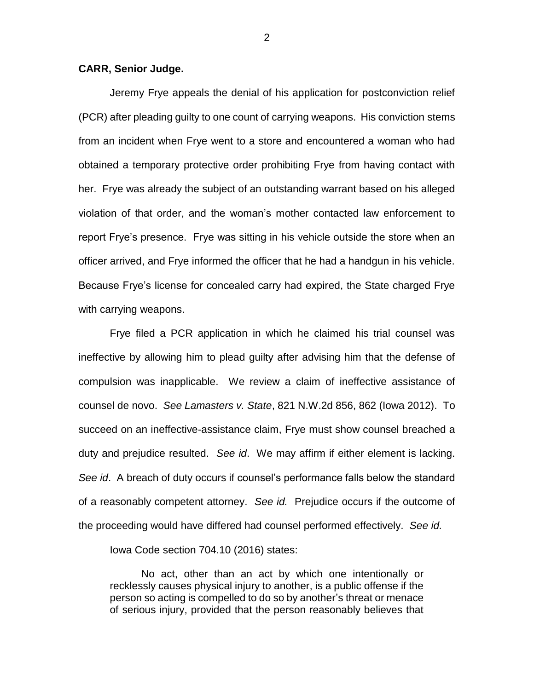#### **CARR, Senior Judge.**

Jeremy Frye appeals the denial of his application for postconviction relief (PCR) after pleading guilty to one count of carrying weapons. His conviction stems from an incident when Frye went to a store and encountered a woman who had obtained a temporary protective order prohibiting Frye from having contact with her. Frye was already the subject of an outstanding warrant based on his alleged violation of that order, and the woman's mother contacted law enforcement to report Frye's presence. Frye was sitting in his vehicle outside the store when an officer arrived, and Frye informed the officer that he had a handgun in his vehicle. Because Frye's license for concealed carry had expired, the State charged Frye with carrying weapons.

Frye filed a PCR application in which he claimed his trial counsel was ineffective by allowing him to plead guilty after advising him that the defense of compulsion was inapplicable. We review a claim of ineffective assistance of counsel de novo. *See Lamasters v. State*, 821 N.W.2d 856, 862 (Iowa 2012). To succeed on an ineffective-assistance claim, Frye must show counsel breached a duty and prejudice resulted. *See id*. We may affirm if either element is lacking. *See id*. A breach of duty occurs if counsel's performance falls below the standard of a reasonably competent attorney. *See id.* Prejudice occurs if the outcome of the proceeding would have differed had counsel performed effectively. *See id.*

Iowa Code section 704.10 (2016) states:

No act, other than an act by which one intentionally or recklessly causes physical injury to another, is a public offense if the person so acting is compelled to do so by another's threat or menace of serious injury, provided that the person reasonably believes that

2